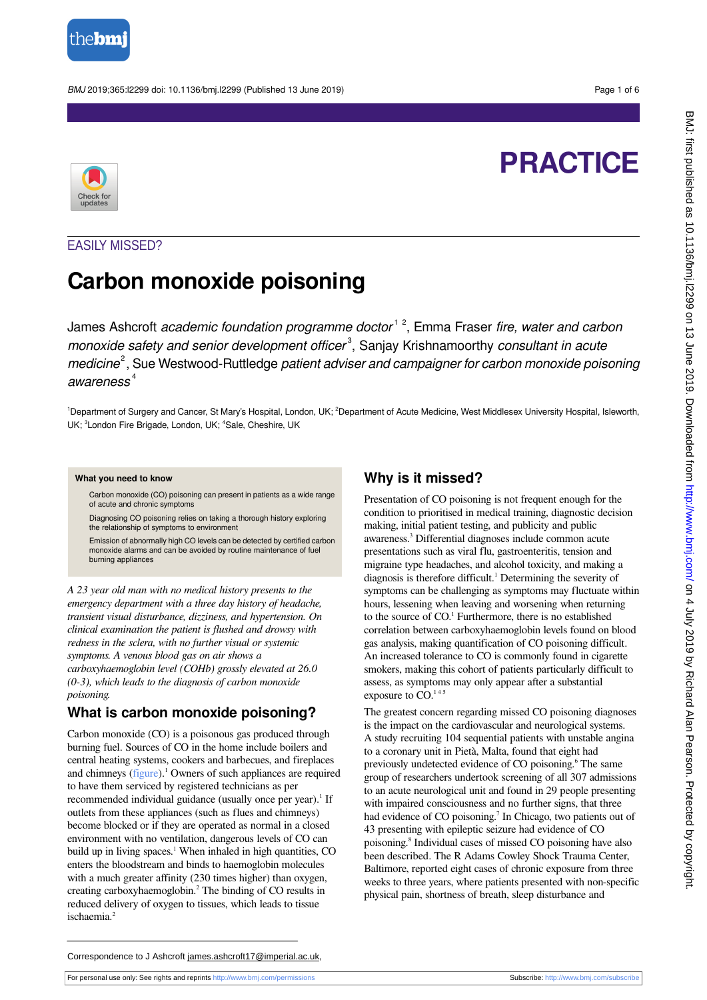

BMJ 2019;365:l2299 doi: 10.1136/bmj.l2299 (Published 13 June 2019) Page 1 of 6

# **PRACTICE**



## EASILY MISSED?

## **Carbon monoxide poisoning**

James Ashcroft academic foundation programme doctor<sup>12</sup>, Emma Fraser fire, water and carbon monoxide safety and senior development officer<sup>3</sup>, Sanjay Krishnamoorthy consultant in acute medicine<sup>2</sup>, Sue Westwood-Ruttledge patient adviser and campaigner for carbon monoxide poisoning awareness<sup>4</sup>

<sup>1</sup>Department of Surgery and Cancer, St Mary's Hospital, London, UK; <sup>2</sup>Department of Acute Medicine, West Middlesex University Hospital, Isleworth, UK; <sup>3</sup>London Fire Brigade, London, UK; <sup>4</sup>Sale, Cheshire, UK

#### **What you need to know**

Carbon monoxide (CO) poisoning can present in patients as a wide range of acute and chronic symptoms

Diagnosing CO poisoning relies on taking a thorough history exploring the relationship of symptoms to environment

Emission of abnormally high CO levels can be detected by certified carbon monoxide alarms and can be avoided by routine maintenance of fuel burning appliances

*A 23 year old man with no medical history presents to the emergency department with a three day history of headache, transient visual disturbance, dizziness, and hypertension. On clinical examination the patient is flushed and drowsy with redness in the sclera, with no further visual or systemic symptoms. A venous blood gas on air shows a carboxyhaemoglobin level (COHb) grossly elevated at 26.0 (0-3), which leads to the diagnosis of carbon monoxide poisoning.*

## **What is carbon monoxide poisoning?**

Carbon monoxide (CO) is a poisonous gas produced through burning fuel. Sources of CO in the home include boilers and central heating systems, cookers and barbecues, and fireplaces and chimneys ([figure](#page-5-0)).<sup>1</sup> Owners of such appliances are required to have them serviced by registered technicians as per recommended individual guidance (usually once per year).<sup>1</sup> If outlets from these appliances (such as flues and chimneys) become blocked or if they are operated as normal in a closed environment with no ventilation, dangerous levels of CO can build up in living spaces.<sup>1</sup> When inhaled in high quantities, CO enters the bloodstream and binds to haemoglobin molecules with a much greater affinity (230 times higher) than oxygen, creating carboxyhaemoglobin.<sup>2</sup> The binding of CO results in reduced delivery of oxygen to tissues, which leads to tissue ischaemia.<sup>2</sup>

## **Why is it missed?**

Presentation of CO poisoning is not frequent enough for the condition to prioritised in medical training, diagnostic decision making, initial patient testing, and publicity and public awareness.<sup>3</sup> Differential diagnoses include common acute presentations such as viral flu, gastroenteritis, tension and migraine type headaches, and alcohol toxicity, and making a diagnosis is therefore difficult.<sup>1</sup> Determining the severity of symptoms can be challenging as symptoms may fluctuate within hours, lessening when leaving and worsening when returning to the source of CO.<sup>1</sup> Furthermore, there is no established correlation between carboxyhaemoglobin levels found on blood gas analysis, making quantification of CO poisoning difficult. An increased tolerance to CO is commonly found in cigarette smokers, making this cohort of patients particularly difficult to assess, as symptoms may only appear after a substantial exposure to CO.<sup>145</sup>

The greatest concern regarding missed CO poisoning diagnoses is the impact on the cardiovascular and neurological systems. A study recruiting 104 sequential patients with unstable angina to a coronary unit in Pietà, Malta, found that eight had previously undetected evidence of CO poisoning.<sup>6</sup> The same group of researchers undertook screening of all 307 admissions to an acute neurological unit and found in 29 people presenting with impaired consciousness and no further signs, that three had evidence of CO poisoning.<sup>7</sup> In Chicago, two patients out of 43 presenting with epileptic seizure had evidence of CO poisoning.<sup>8</sup> Individual cases of missed CO poisoning have also been described. The R Adams Cowley Shock Trauma Center, Baltimore, reported eight cases of chronic exposure from three weeks to three years, where patients presented with non-specific physical pain, shortness of breath, sleep disturbance and

Correspondence to J Ashcroft james.ashcroft17@imperial.ac.uk,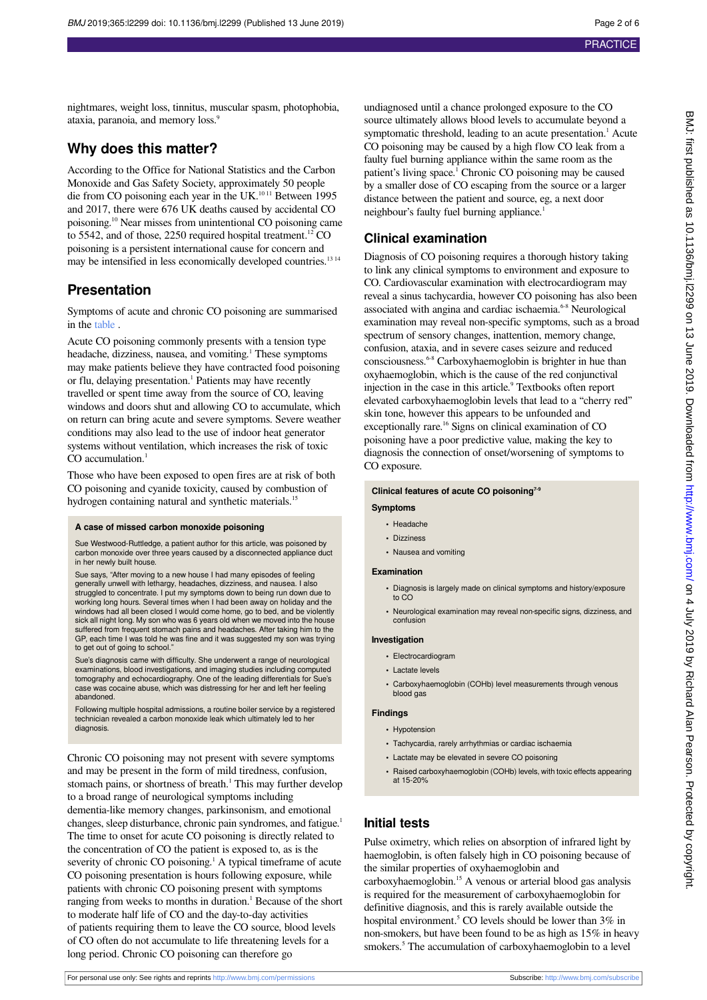nightmares, weight loss, tinnitus, muscular spasm, photophobia, ataxia, paranoia, and memory loss.<sup>9</sup>

## **Why does this matter?**

According to the Office for National Statistics and the Carbon Monoxide and Gas Safety Society, approximately 50 people die from CO poisoning each year in the UK.<sup>1011</sup> Between 1995 and 2017, there were 676 UK deaths caused by accidental CO poisoning.<sup>10</sup> Near misses from unintentional CO poisoning came to 5542, and of those, 2250 required hospital treatment.<sup>12</sup> CO poisoning is a persistent international cause for concern and may be intensified in less economically developed countries.<sup>13 14</sup>

## **Presentation**

Symptoms of acute and chronic CO poisoning are summarised in the [table](#page-4-0) .

Acute CO poisoning commonly presents with a tension type headache, dizziness, nausea, and vomiting.<sup>1</sup> These symptoms may make patients believe they have contracted food poisoning or flu, delaying presentation.<sup>1</sup> Patients may have recently travelled or spent time away from the source of CO, leaving windows and doors shut and allowing CO to accumulate, which on return can bring acute and severe symptoms. Severe weather conditions may also lead to the use of indoor heat generator systems without ventilation, which increases the risk of toxic  $CO$  accumulation.<sup>1</sup>

Those who have been exposed to open fires are at risk of both CO poisoning and cyanide toxicity, caused by combustion of hydrogen containing natural and synthetic materials.<sup>15</sup>

#### **A case of missed carbon monoxide poisoning**

Sue Westwood-Ruttledge, a patient author for this article, was poisoned by carbon monoxide over three years caused by a disconnected appliance duct in her newly built house.

Sue says, "After moving to a new house I had many episodes of feeling generally unwell with lethargy, headaches, dizziness, and nausea. I also struggled to concentrate. I put my symptoms down to being run down due to working long hours. Several times when I had been away on holiday and the windows had all been closed I would come home, go to bed, and be violently sick all night long. My son who was 6 years old when we moved into the house suffered from frequent stomach pains and headaches. After taking him to the GP, each time I was told he was fine and it was suggested my son was trying to get out of going to school."

Sue's diagnosis came with difficulty. She underwent a range of neurological examinations, blood investigations, and imaging studies including computed tomography and echocardiography. One of the leading differentials for Sue's case was cocaine abuse, which was distressing for her and left her feeling abandoned.

Following multiple hospital admissions, a routine boiler service by a registered technician revealed a carbon monoxide leak which ultimately led to he diagnosis.

Chronic CO poisoning may not present with severe symptoms and may be present in the form of mild tiredness, confusion, stomach pains, or shortness of breath.<sup>1</sup> This may further develop to a broad range of neurological symptoms including dementia-like memory changes, parkinsonism, and emotional changes, sleep disturbance, chronic pain syndromes, and fatigue.<sup>1</sup> The time to onset for acute CO poisoning is directly related to the concentration of CO the patient is exposed to, as is the severity of chronic CO poisoning.<sup>1</sup> A typical timeframe of acute CO poisoning presentation is hours following exposure, while patients with chronic CO poisoning present with symptoms ranging from weeks to months in duration.<sup>1</sup> Because of the short to moderate half life of CO and the day-to-day activities of patients requiring them to leave the CO source, blood levels of CO often do not accumulate to life threatening levels for a long period. Chronic CO poisoning can therefore go

undiagnosed until a chance prolonged exposure to the CO source ultimately allows blood levels to accumulate beyond a symptomatic threshold, leading to an acute presentation.<sup>1</sup> Acute CO poisoning may be caused by a high flow CO leak from a faulty fuel burning appliance within the same room as the patient's living space.<sup>1</sup> Chronic CO poisoning may be caused by a smaller dose of CO escaping from the source or a larger distance between the patient and source, eg, a next door neighbour's faulty fuel burning appliance.<sup>1</sup>

### **Clinical examination**

Diagnosis of CO poisoning requires a thorough history taking to link any clinical symptoms to environment and exposure to CO. Cardiovascular examination with electrocardiogram may reveal a sinus tachycardia, however CO poisoning has also been associated with angina and cardiac ischaemia.<sup>6-8</sup> Neurological examination may reveal non-specific symptoms, such as a broad spectrum of sensory changes, inattention, memory change, confusion, ataxia, and in severe cases seizure and reduced consciousness.6-8 Carboxyhaemoglobin is brighter in hue than oxyhaemoglobin, which is the cause of the red conjunctival injection in the case in this article.<sup>9</sup> Textbooks often report elevated carboxyhaemoglobin levels that lead to a "cherry red" skin tone, however this appears to be unfounded and exceptionally rare.<sup>16</sup> Signs on clinical examination of CO poisoning have a poor predictive value, making the key to diagnosis the connection of onset/worsening of symptoms to CO exposure.

#### **Clinical features of acute CO poisoning7-9**

#### **Symptoms**

- **•** Headache
- **•** Dizziness
- **•** Nausea and vomiting

#### **Examination**

- **•** Diagnosis is largely made on clinical symptoms and history/exposure to CO
- **•** Neurological examination may reveal non-specific signs, dizziness, and confusion

#### **Investigation**

- **•** Electrocardiogram
- **•** Lactate levels
- **•** Carboxyhaemoglobin (COHb) level measurements through venous blood gas

#### **Findings**

- **•** Hypotension
- **•** Tachycardia, rarely arrhythmias or cardiac ischaemia
- **•** Lactate may be elevated in severe CO poisoning
- **•** Raised carboxyhaemoglobin (COHb) levels, with toxic effects appearing at 15-20%

### **Initial tests**

Pulse oximetry, which relies on absorption of infrared light by haemoglobin, is often falsely high in CO poisoning because of the similar properties of oxyhaemoglobin and carboxyhaemoglobin.<sup>15</sup> A venous or arterial blood gas analysis is required for the measurement of carboxyhaemoglobin for definitive diagnosis, and this is rarely available outside the hospital environment.<sup>5</sup> CO levels should be lower than  $3\%$  in non-smokers, but have been found to be as high as 15% in heavy smokers.<sup>5</sup> The accumulation of carboxyhaemoglobin to a level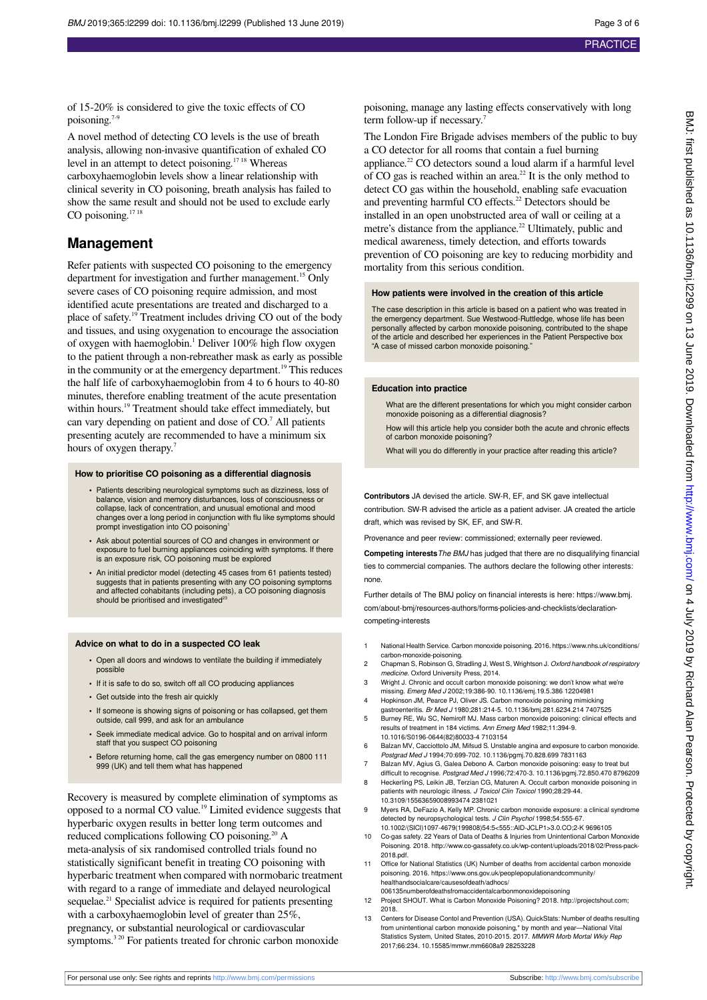of 15-20% is considered to give the toxic effects of CO poisoning.7-9

A novel method of detecting CO levels is the use of breath analysis, allowing non-invasive quantification of exhaled CO level in an attempt to detect poisoning.<sup>1718</sup> Whereas carboxyhaemoglobin levels show a linear relationship with clinical severity in CO poisoning, breath analysis has failed to show the same result and should not be used to exclude early CO poisoning.<sup>17 18</sup>

## **Management**

Refer patients with suspected CO poisoning to the emergency department for investigation and further management.<sup>15</sup> Only severe cases of CO poisoning require admission, and most identified acute presentations are treated and discharged to a place of safety.<sup>19</sup> Treatment includes driving CO out of the body and tissues, and using oxygenation to encourage the association of oxygen with haemoglobin.<sup>1</sup> Deliver 100% high flow oxygen to the patient through a non-rebreather mask as early as possible in the community or at the emergency department.<sup>19</sup> This reduces the half life of carboxyhaemoglobin from 4 to 6 hours to 40-80 minutes, therefore enabling treatment of the acute presentation within hours.<sup>19</sup> Treatment should take effect immediately, but can vary depending on patient and dose of CO.<sup>7</sup> All patients presenting acutely are recommended to have a minimum six hours of oxygen therapy.<sup>7</sup>

#### **How to prioritise CO poisoning as a differential diagnosis**

- **•** Patients describing neurological symptoms such as dizziness, loss of balance, vision and memory disturbances, loss of consciousness or collapse, lack of concentration, and unusual emotional and mood changes over a long period in conjunction with flu like symptoms should prompt investigation into CO poisoning<sup>1</sup>
- **•** Ask about potential sources of CO and changes in environment or exposure to fuel burning appliances coinciding with symptoms. If there is an exposure risk, CO poisoning must be explored
- **•** An initial predictor model (detecting 45 cases from 61 patients tested) suggests that in patients presenting with any CO poisoning symptoms and affected cohabitants (including pets), a CO poisoning diagnosis should be prioritised and investigated<sup>23</sup>

#### **Advice on what to do in a suspected CO leak**

- **•** Open all doors and windows to ventilate the building if immediately possible
- **•** If it is safe to do so, switch off all CO producing appliances
- **•** Get outside into the fresh air quickly
- **•** If someone is showing signs of poisoning or has collapsed, get them outside, call 999, and ask for an ambulance
- **•** Seek immediate medical advice. Go to hospital and on arrival inform staff that you suspect CO poisoning
- **•** Before returning home, call the gas emergency number on 0800 111 999 (UK) and tell them what has happened

Recovery is measured by complete elimination of symptoms as opposed to a normal CO value.<sup>19</sup> Limited evidence suggests that hyperbaric oxygen results in better long term outcomes and reduced complications following CO poisoning.<sup>20</sup> A meta-analysis of six randomised controlled trials found no statistically significant benefit in treating CO poisoning with hyperbaric treatment when compared with normobaric treatment with regard to a range of immediate and delayed neurological sequelae.<sup>21</sup> Specialist advice is required for patients presenting with a carboxyhaemoglobin level of greater than 25%, pregnancy, or substantial neurological or cardiovascular symptoms.<sup>3 20</sup> For patients treated for chronic carbon monoxide

poisoning, manage any lasting effects conservatively with long term follow-up if necessary.<sup>7</sup>

The London Fire Brigade advises members of the public to buy a CO detector for all rooms that contain a fuel burning appliance.<sup>22</sup> CO detectors sound a loud alarm if a harmful level of CO gas is reached within an area.<sup>22</sup> It is the only method to detect CO gas within the household, enabling safe evacuation and preventing harmful CO effects.<sup>22</sup> Detectors should be installed in an open unobstructed area of wall or ceiling at a metre's distance from the appliance.<sup>22</sup> Ultimately, public and medical awareness, timely detection, and efforts towards prevention of CO poisoning are key to reducing morbidity and mortality from this serious condition.

#### **How patients were involved in the creation of this article**

The case description in this article is based on a patient who was treated in the emergency department. Sue Westwood-Ruttledge, whose life has been personally affected by carbon monoxide poisoning, contributed to the shape of the article and described her experiences in the Patient Perspective box "A case of missed carbon monoxide poisoning."

#### **Education into practice**

What are the different presentations for which you might consider carbon monoxide poisoning as a differential diagnosis?

How will this article help you consider both the acute and chronic effects of carbon monoxide poisoning?

What will you do differently in your practice after reading this article?

**Contributors** JA devised the article. SW-R, EF, and SK gave intellectual contribution. SW-R advised the article as a patient adviser. JA created the article draft, which was revised by SK, EF, and SW-R.

Provenance and peer review: commissioned; externally peer reviewed.

**Competing interests**The BMJ has judged that there are no disqualifying financial ties to commercial companies. The authors declare the following other interests: none.

Further details of The BMJ policy on financial interests is here: https://www.bmj. com/about-bmj/resources-authors/forms-policies-and-checklists/declarationcompeting-interests

- 1 National Health Service. Carbon monoxide poisoning. 2016. https://www.nhs.uk/conditions/ carbon-monoxide-poisoning.
- 2 Chapman S, Robinson G, Stradling J, West S, Wrightson J, Oxford handbook of respiratory medicine. Oxford University Press, 2014.
- 3 Wright J. Chronic and occult carbon monoxide poisoning: we don't know what we're missing. Emerg Med J 2002;19:386-90. 10.1136/emj.19.5.386 12204981
- 4 Hopkinson JM, Pearce PJ, Oliver JS. Carbon monoxide poisoning mimicking gastroenteritis. Br Med J 1980;281:214-5. 10.1136/bmj.281.6234.214 7407525
- 5 Burney RE, Wu SC, Nemiroff MJ. Mass carbon monoxide poisoning: clinical effects and results of treatment in 184 victims. Ann Emerg Med 1982;11:394-9. 10.1016/S0196-0644(82)80033-4 7103154
- 6 Balzan MV, Cacciottolo JM, Mifsud S. Unstable angina and exposure to carbon monoxide. Postgrad Med J 1994;70:699-702. 10.1136/pgmj.70.828.699 7831163
- 7 Balzan MV, Agius G, Galea Debono A. Carbon monoxide poisoning: easy to treat but difficult to recognise. Postgrad Med J 1996;72:470-3. 10.1136/pgmj.72.850.470 8796209
- 8 Heckerling PS, Leikin JB, Terzian CG, Maturen A. Occult carbon monoxide poisoning in patients with neurologic illness. J Toxicol Clin Toxicol 1990;28:29-44. 10.3109/15563659008993474 2381021
- 9 Myers RA, DeFazio A, Kelly MP. Chronic carbon monoxide exposure: a clinical syndrome detected by neuropsychological tests. J Clin Psychol 1998;54:555-67. 10.1002/(SICI)1097-4679(199808)54:5<555::AID-JCLP1>3.0.CO;2-K 9696105
- 10 Co-gas safety. 22 Years of Data of Deaths & Injuries from Unintentional Carbon Monoxide Poisoning. 2018. [http://www.co-gassafety.co.uk/wp-content/uploads/2018/02/Press-pack-](http://www.co-gassafety.co.uk/wp-content/uploads/2018/02/Press-pack-2018.pdf)[2018.pdf.](http://www.co-gassafety.co.uk/wp-content/uploads/2018/02/Press-pack-2018.pdf)
- 11 Office for National Statistics (UK) Number of deaths from accidental carbon monoxide poisoning. 2016. https://www.ons.gov.uk/peoplepopulationandcommunity/ healthandsocialcare/causesofdeath/adhocs/ 006135numberofdeathsfromaccidentalcarbonmonoxidepoisoning
- 12 Project SHOUT. What is Carbon Monoxide Poisoning? 2018.<http://projectshout.com>; 2018.
- 13 Centers for Disease Contol and Prevention (USA). QuickStats: Number of deaths resulting from unintentional carbon monoxide poisoning,\* by month and year—National Vital Statistics System, United States, 2010-2015. 2017. MMWR Morb Mortal Wkly Rep 2017;66:234. 10.15585/mmwr.mm6608a9 28253228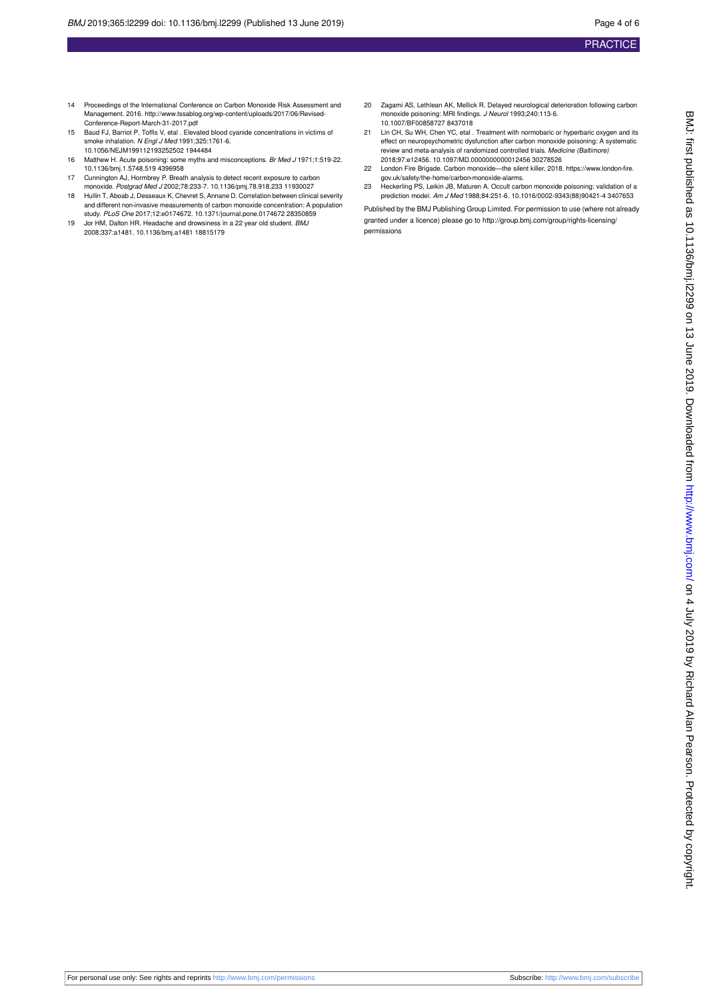- 14 Proceedings of the International Conference on Carbon Monoxide Risk Assessment and Management. 2016. [http://www.tssablog.org/wp-content/uploads/2017/06/Revised-](http://www.tssablog.org/wp-content/uploads/2017/06/Revised-Conference-Report-March-31-2017.pdf)[Conference-Report-March-31-2017.pdf](http://www.tssablog.org/wp-content/uploads/2017/06/Revised-Conference-Report-March-31-2017.pdf)
- 15 Baud FJ, Barriot P, Toffis V, etal . Elevated blood cyanide concentrations in victims of smoke inhalation. N Engl J Med 1991:325:1761-6. 10.1056/NEJM199112193252502 1944484
- 16 Matthew H. Acute poisoning: some myths and misconceptions. Br Med J 1971;1:519-22. 10.1136/bmj.1.5748.519 4396958
- 17 Cunnington AJ, Hormbrey P. Breath analysis to detect recent exposure to carbon monoxide. Postgrad Med J 2002;78:233-7. 10.1136/pmj.78.918.233 11930027
- 18 Hullin T, Aboab J, Desseaux K, Chevret S, Annane D. Correlation between clinical severity and different non-invasive measurements of carbon monoxide concentration: A population study. PLoS One 2017;12:e0174672. 10.1371/journal.pone.0174672 28350859
- 19 Jor HM, Dalton HR. Headache and drowsiness in a 22 year old student. BMJ 2008;337:a1481. 10.1136/bmj.a1481 18815179
- 20 Zagami AS, Lethlean AK, Mellick R. Delayed neurological deterioration following carbon monoxide poisoning: MRI findings. J Neurol 1993;240:113-6. 10.1007/BF00858727 8437018
- 21 Lin CH, Su WH, Chen YC, etal . Treatment with normobaric or hyperbaric oxygen and its effect on neuropsychometric dysfunction after carbon monoxide poisoning: A systematic review and meta-analysis of randomized controlled trials. Medicine (Baltimore) 2018;97:e12456. 10.1097/MD.0000000000012456 30278526
- 22 London Fire Brigade. Carbon monoxide—the silent killer. 2018. https://www.london-fire. gov.uk/safety/the-home/carbon-monoxide-alarms.
- 23 Heckerling PS, Leikin JB, Maturen A. Occult carbon monoxide poisoning: validation of a prediction model. Am J Med 1988;84:251-6. 10.1016/0002-9343(88)90421-4 3407653

Published by the BMJ Publishing Group Limited. For permission to use (where not already granted under a licence) please go to [http://group.bmj.com/group/rights-licensing/](http://group.bmj.com/group/rights-licensing/permissions) [permissions](http://group.bmj.com/group/rights-licensing/permissions)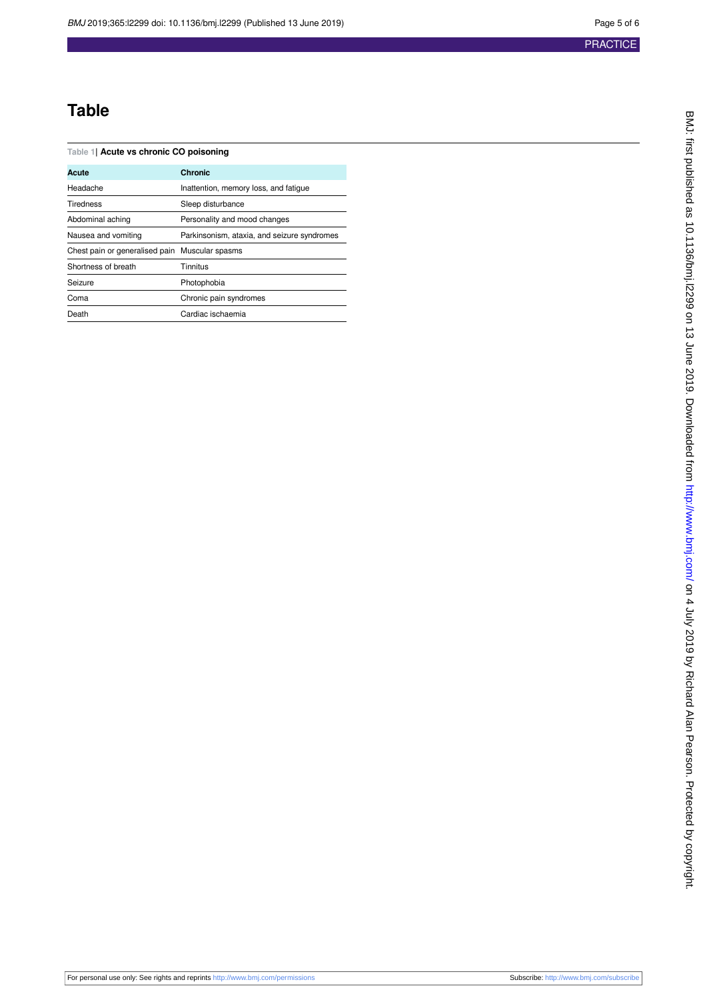## **Table**

<span id="page-4-0"></span>**Table 1| Acute vs chronic CO poisoning**

| Acute                                          | <b>Chronic</b>                              |
|------------------------------------------------|---------------------------------------------|
| Headache                                       | Inattention, memory loss, and fatigue       |
| <b>Tiredness</b>                               | Sleep disturbance                           |
| Abdominal aching                               | Personality and mood changes                |
| Nausea and vomiting                            | Parkinsonism, ataxia, and seizure syndromes |
| Chest pain or generalised pain Muscular spasms |                                             |
| Shortness of breath                            | Tinnitus                                    |
| Seizure                                        | Photophobia                                 |
| Coma                                           | Chronic pain syndromes                      |
| Death                                          | Cardiac ischaemia                           |